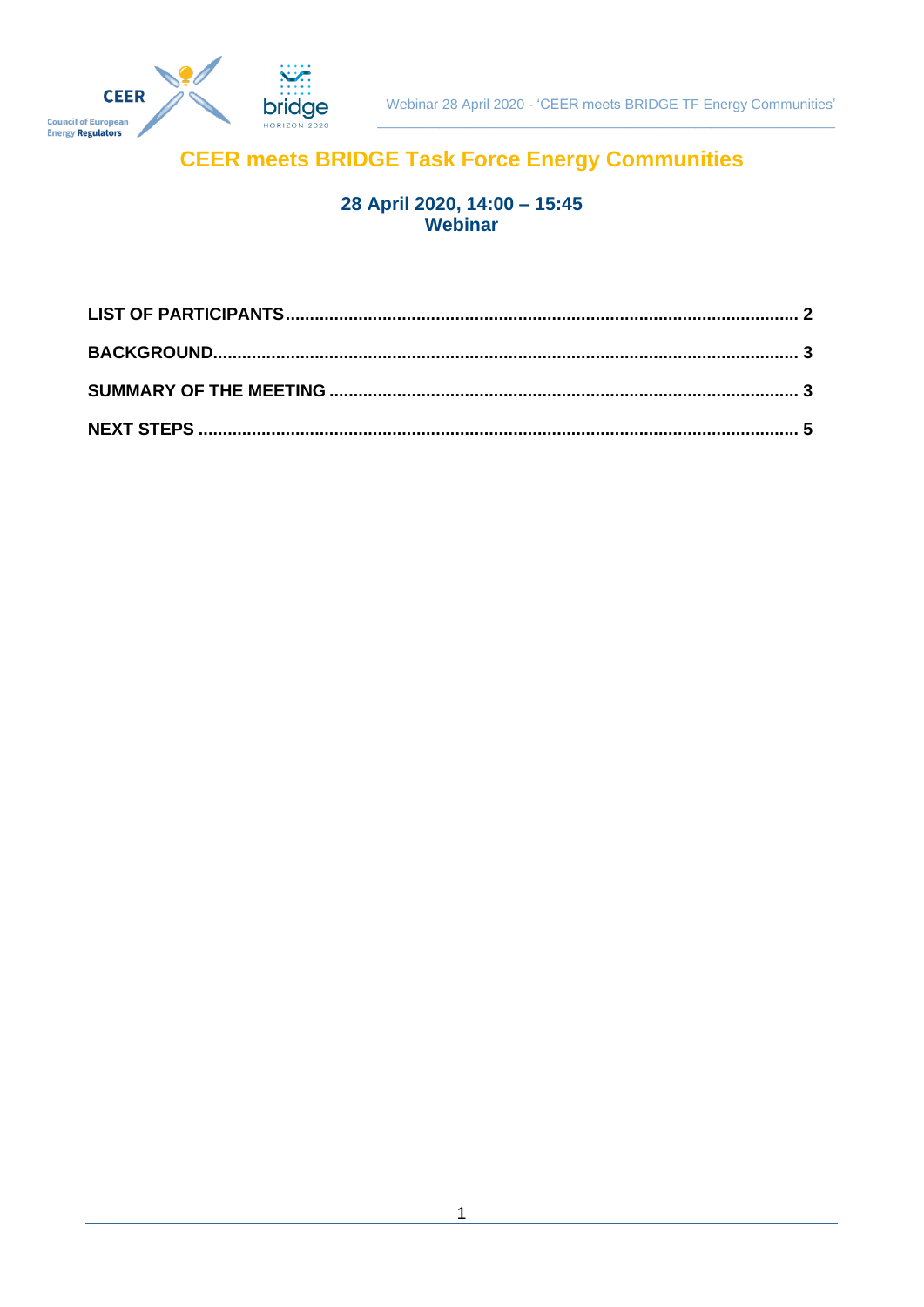

## **CEER meets BRIDGE Task Force Energy Communities**

# 28 April 2020, 14:00 - 15:45<br>Webinar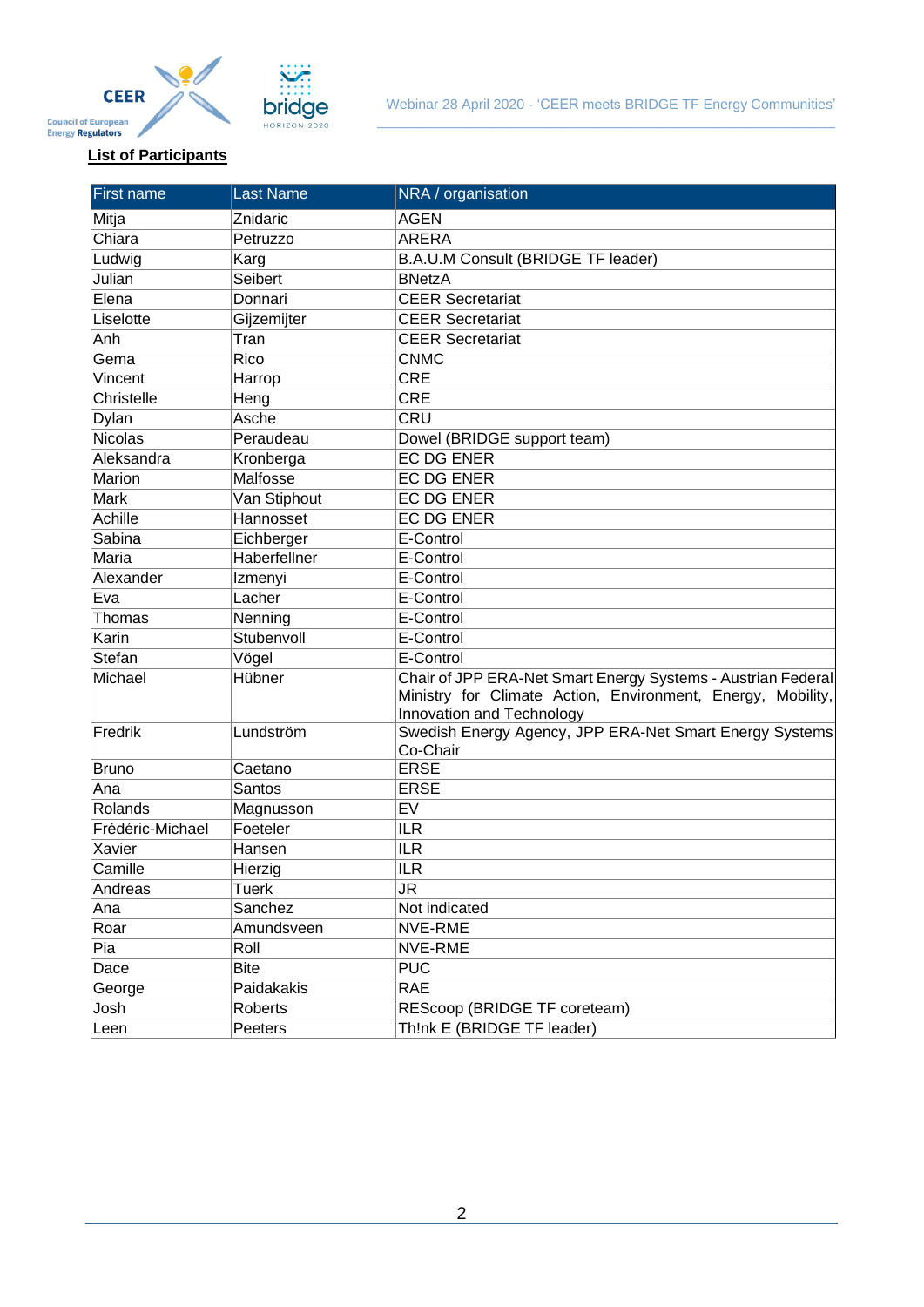

### <span id="page-1-0"></span>**List of Participants**

| <b>First name</b> | <b>Last Name</b> | NRA / organisation                                                                                                                                       |
|-------------------|------------------|----------------------------------------------------------------------------------------------------------------------------------------------------------|
| Mitja             | Znidaric         | <b>AGEN</b>                                                                                                                                              |
| Chiara            | Petruzzo         | <b>ARERA</b>                                                                                                                                             |
| Ludwig            | Karg             | B.A.U.M Consult (BRIDGE TF leader)                                                                                                                       |
| Julian            | Seibert          | <b>BNetzA</b>                                                                                                                                            |
| Elena             | Donnari          | <b>CEER Secretariat</b>                                                                                                                                  |
| Liselotte         | Gijzemijter      | <b>CEER Secretariat</b>                                                                                                                                  |
| Anh               | Tran             | <b>CEER Secretariat</b>                                                                                                                                  |
| Gema              | Rico             | <b>CNMC</b>                                                                                                                                              |
| Vincent           | Harrop           | <b>CRE</b>                                                                                                                                               |
| Christelle        | Heng             | <b>CRE</b>                                                                                                                                               |
| Dylan             | Asche            | CRU                                                                                                                                                      |
| <b>Nicolas</b>    | Peraudeau        | Dowel (BRIDGE support team)                                                                                                                              |
| Aleksandra        | Kronberga        | <b>EC DG ENER</b>                                                                                                                                        |
| Marion            | Malfosse         | <b>EC DG ENER</b>                                                                                                                                        |
| Mark              | Van Stiphout     | <b>EC DG ENER</b>                                                                                                                                        |
| <b>Achille</b>    | Hannosset        | <b>EC DG ENER</b>                                                                                                                                        |
| Sabina            | Eichberger       | E-Control                                                                                                                                                |
| Maria             | Haberfellner     | E-Control                                                                                                                                                |
| Alexander         | Izmenyi          | E-Control                                                                                                                                                |
| Eva               | Lacher           | E-Control                                                                                                                                                |
| Thomas            | Nenning          | E-Control                                                                                                                                                |
| Karin             | Stubenvoll       | E-Control                                                                                                                                                |
| Stefan            | Vögel            | E-Control                                                                                                                                                |
| Michael           | Hübner           | Chair of JPP ERA-Net Smart Energy Systems - Austrian Federal<br>Ministry for Climate Action, Environment, Energy, Mobility,<br>Innovation and Technology |
| Fredrik           | Lundström        | Swedish Energy Agency, JPP ERA-Net Smart Energy Systems<br>Co-Chair                                                                                      |
| <b>Bruno</b>      | Caetano          | <b>ERSE</b>                                                                                                                                              |
| Ana               | Santos           | <b>ERSE</b>                                                                                                                                              |
| Rolands           | Magnusson        | EV                                                                                                                                                       |
| Frédéric-Michael  | Foeteler         | <b>ILR</b>                                                                                                                                               |
| Xavier            | Hansen           | <b>ILR</b>                                                                                                                                               |
| Camille           | Hierzig          | <b>ILR</b>                                                                                                                                               |
| Andreas           | Tuerk            | JR                                                                                                                                                       |
| Ana               | Sanchez          | Not indicated                                                                                                                                            |
| Roar              | Amundsveen       | NVE-RME                                                                                                                                                  |
| Pia               | Roll             | NVE-RME                                                                                                                                                  |
| Dace              | <b>Bite</b>      | <b>PUC</b>                                                                                                                                               |
| George            | Paidakakis       | <b>RAE</b>                                                                                                                                               |
| Josh              | Roberts          | REScoop (BRIDGE TF coreteam)                                                                                                                             |
| Leen              | Peeters          | Th!nk E (BRIDGE TF leader)                                                                                                                               |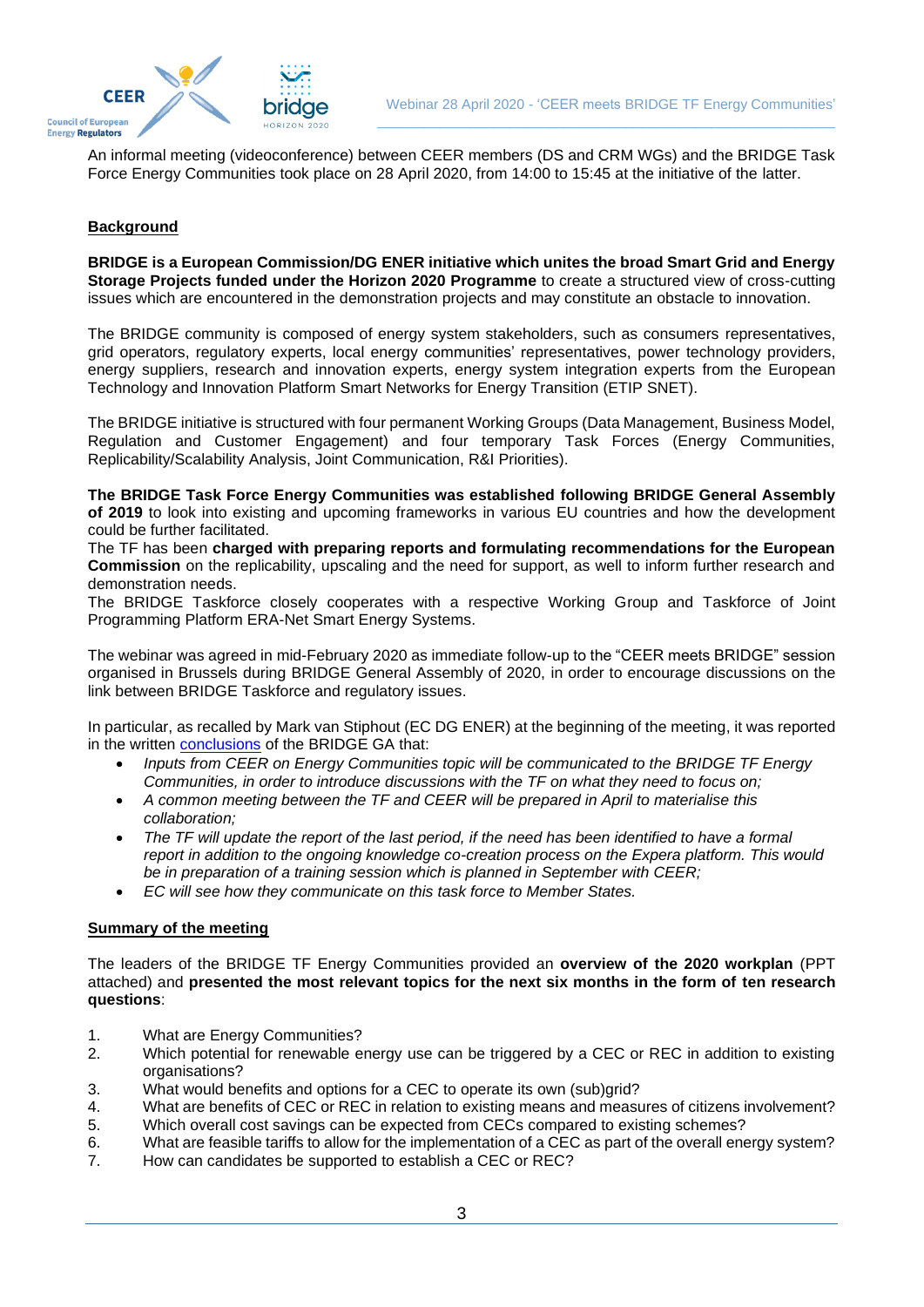

An informal meeting (videoconference) between CEER members (DS and CRM WGs) and the BRIDGE Task Force Energy Communities took place on 28 April 2020, from 14:00 to 15:45 at the initiative of the latter.

#### <span id="page-2-0"></span>**Background**

**BRIDGE is a European Commission/DG ENER initiative which unites the broad Smart Grid and Energy Storage Projects funded under the Horizon 2020 Programme** to create a structured view of cross-cutting issues which are encountered in the demonstration projects and may constitute an obstacle to innovation.

The BRIDGE community is composed of energy system stakeholders, such as consumers representatives, grid operators, regulatory experts, local energy communities' representatives, power technology providers, energy suppliers, research and innovation experts, energy system integration experts from the European Technology and Innovation Platform Smart Networks for Energy Transition (ETIP SNET).

The BRIDGE initiative is structured with four permanent Working Groups (Data Management, Business Model, Regulation and Customer Engagement) and four temporary Task Forces (Energy Communities, Replicability/Scalability Analysis, Joint Communication, R&I Priorities).

**The BRIDGE Task Force Energy Communities was established following BRIDGE General Assembly of 2019** to look into existing and upcoming frameworks in various EU countries and how the development could be further facilitated.

The TF has been **charged with preparing reports and formulating recommendations for the European Commission** on the replicability, upscaling and the need for support, as well to inform further research and demonstration needs.

The BRIDGE Taskforce closely cooperates with a respective Working Group and Taskforce of Joint Programming Platform ERA-Net Smart Energy Systems.

The webinar was agreed in mid-February 2020 as immediate follow-up to the "CEER meets BRIDGE" session organised in Brussels during BRIDGE General Assembly of 2020, in order to encourage discussions on the link between BRIDGE Taskforce and regulatory issues.

In particular, as recalled by Mark van Stiphout (EC DG ENER) at the beginning of the meeting, it was reported in the written [conclusions](https://www.h2020-bridge.eu/wp-content/uploads/2020/03/BRIDGE-GA2020_Conclusions-and-next-steps.pdf) of the BRIDGE GA that:

- *Inputs from CEER on Energy Communities topic will be communicated to the BRIDGE TF Energy Communities, in order to introduce discussions with the TF on what they need to focus on;*
- *A common meeting between the TF and CEER will be prepared in April to materialise this collaboration;*
- *The TF will update the report of the last period, if the need has been identified to have a formal report in addition to the ongoing knowledge co-creation process on the Expera platform. This would be in preparation of a training session which is planned in September with CEER;*
- *EC will see how they communicate on this task force to Member States.*

#### <span id="page-2-1"></span>**Summary of the meeting**

The leaders of the BRIDGE TF Energy Communities provided an **overview of the 2020 workplan** (PPT attached) and **presented the most relevant topics for the next six months in the form of ten research questions**:

- 1. What are Energy Communities?
- 2. Which potential for renewable energy use can be triggered by a CEC or REC in addition to existing organisations?
- 3. What would benefits and options for a CEC to operate its own (sub)grid?
- 4. What are benefits of CEC or REC in relation to existing means and measures of citizens involvement? 5. Which overall cost savings can be expected from CECs compared to existing schemes?
- 6. What are feasible tariffs to allow for the implementation of a CEC as part of the overall energy system?
- 7. How can candidates be supported to establish a CEC or REC?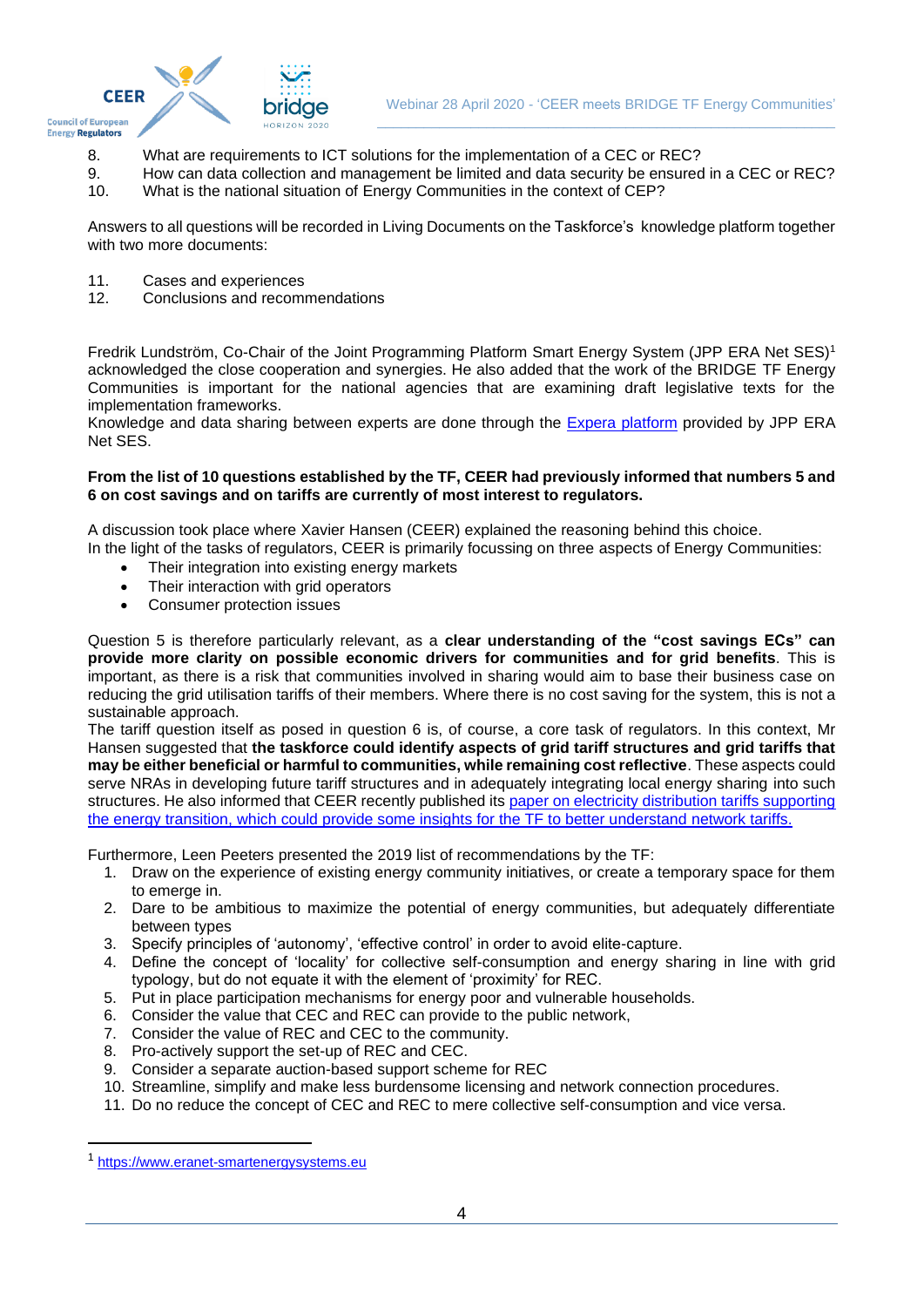

- 8. What are requirements to ICT solutions for the implementation of a CEC or REC?
- 9. How can data collection and management be limited and data security be ensured in a CEC or REC?
- 10. What is the national situation of Energy Communities in the context of CEP?

Answers to all questions will be recorded in Living Documents on the Taskforce's knowledge platform together with two more documents:

- 11. Cases and experiences<br>12. Conclusions and recomi
- Conclusions and recommendations

Fredrik Lundström, Co-Chair of the Joint Programming Platform Smart Energy System (JPP ERA Net SES) 1 acknowledged the close cooperation and synergies. He also added that the work of the BRIDGE TF Energy Communities is important for the national agencies that are examining draft legislative texts for the implementation frameworks.

Knowledge and data sharing between experts are done through the [Expera platform](https://t1p.de/usr9) provided by JPP ERA Net SES.

#### **From the list of 10 questions established by the TF, CEER had previously informed that numbers 5 and 6 on cost savings and on tariffs are currently of most interest to regulators.**

A discussion took place where Xavier Hansen (CEER) explained the reasoning behind this choice.

In the light of the tasks of regulators, CEER is primarily focussing on three aspects of Energy Communities:

- Their integration into existing energy markets
- Their interaction with grid operators
- Consumer protection issues

Question 5 is therefore particularly relevant, as a **clear understanding of the "cost savings ECs" can provide more clarity on possible economic drivers for communities and for grid benefits**. This is important, as there is a risk that communities involved in sharing would aim to base their business case on reducing the grid utilisation tariffs of their members. Where there is no cost saving for the system, this is not a sustainable approach.

The tariff question itself as posed in question 6 is, of course, a core task of regulators. In this context, Mr Hansen suggested that **the taskforce could identify aspects of grid tariff structures and grid tariffs that may be either beneficial or harmful to communities, while remaining cost reflective**. These aspects could serve NRAs in developing future tariff structures and in adequately integrating local energy sharing into such structures. He also informed that CEER recently published its paper on electricity distribution tariffs supporting [the energy transition,](https://www.ceer.eu/1928) which could provide some insights for the TF to better understand network tariffs.

Furthermore, Leen Peeters presented the 2019 list of recommendations by the TF:

- 1. Draw on the experience of existing energy community initiatives, or create a temporary space for them to emerge in.
- 2. Dare to be ambitious to maximize the potential of energy communities, but adequately differentiate between types
- 3. Specify principles of 'autonomy', 'effective control' in order to avoid elite-capture.
- 4. Define the concept of 'locality' for collective self-consumption and energy sharing in line with grid typology, but do not equate it with the element of 'proximity' for REC.
- 5. Put in place participation mechanisms for energy poor and vulnerable households.
- 6. Consider the value that CEC and REC can provide to the public network,
- 7. Consider the value of REC and CEC to the community.
- 8. Pro-actively support the set-up of REC and CEC.
- 9. Consider a separate auction-based support scheme for REC
- 10. Streamline, simplify and make less burdensome licensing and network connection procedures.
- 11. Do no reduce the concept of CEC and REC to mere collective self-consumption and vice versa.

<sup>1</sup> [https://www.eranet-smartenergysystems.eu](https://www.eranet-smartenergysystems.eu/)